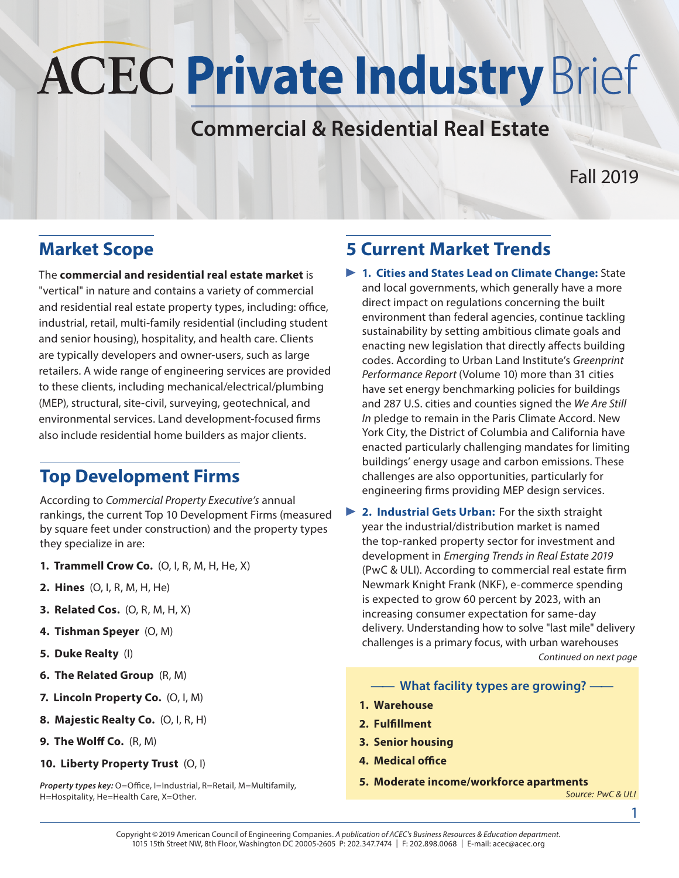# **ACEC Private Industry Brief**

# **Commercial & Residential Real Estate**

## Fall 2019

## **Market Scope**

The **commercial and residential real estate market** is "vertical" in nature and contains a variety of commercial and residential real estate property types, including: office, industrial, retail, multi-family residential (including student and senior housing), hospitality, and health care. Clients are typically developers and owner-users, such as large retailers. A wide range of engineering services are provided to these clients, including mechanical/electrical/plumbing (MEP), structural, site-civil, surveying, geotechnical, and environmental services. Land development-focused firms also include residential home builders as major clients.

## **Top Development Firms**

According to *Commercial Property Executive's* annual rankings, the current Top 10 Development Firms (measured by square feet under construction) and the property types they specialize in are:

- **1. Trammell Crow Co.** (O, I, R, M, H, He, X)
- **2. Hines** (O, I, R, M, H, He)
- **3. Related Cos.** (O, R, M, H, X)
- **4. Tishman Speyer** (O, M)
- **5. Duke Realty** (I)
- **6. The Related Group** (R, M)
- **7. Lincoln Property Co.** (O, I, M)
- **8. Majestic Realty Co.** (O, I, R, H)
- **9. The Wolff Co.** (R, M)
- **10. Liberty Property Trust** (O, I)

*Property types key:* O=Office, I=Industrial, R=Retail, M=Multifamily, H=Hospitality, He=Health Care, X=Other.

# **5 Current Market Trends**

- **1. Cities and States Lead on Climate Change:** State and local governments, which generally have a more direct impact on regulations concerning the built environment than federal agencies, continue tackling sustainability by setting ambitious climate goals and enacting new legislation that directly affects building codes. According to Urban Land Institute's *Greenprint Performance Report* (Volume 10) more than 31 cities have set energy benchmarking policies for buildings and 287 U.S. cities and counties signed the *We Are Still In* pledge to remain in the Paris Climate Accord. New York City, the District of Columbia and California have enacted particularly challenging mandates for limiting buildings' energy usage and carbon emissions. These challenges are also opportunities, particularly for engineering firms providing MEP design services.
- **2. Industrial Gets Urban:** For the sixth straight year the industrial/distribution market is named the top-ranked property sector for investment and development in *Emerging Trends in Real Estate 2019* (PwC & ULI). According to commercial real estate firm Newmark Knight Frank (NKF), e-commerce spending is expected to grow 60 percent by 2023, with an increasing consumer expectation for same-day delivery. Understanding how to solve "last mile" delivery challenges is a primary focus, with urban warehouses *Continued on next page*
	- **—— What facility types are growing? ——**
	- **1. Warehouse**
	- **2. Fulfillment**
	- **3. Senior housing**
	- **4. Medical office**
	- **5. Moderate income/workforce apartments**

*Source: PwC & ULI*

1

Copyright © 2019 American Council of Engineering Companies. *A publication of ACEC's Business Resources & Education department.* 1015 15th Street NW, 8th Floor, Washington DC 20005-2605 P: 202.347.7474 | F: 202.898.0068 | E-mail: acec@acec.org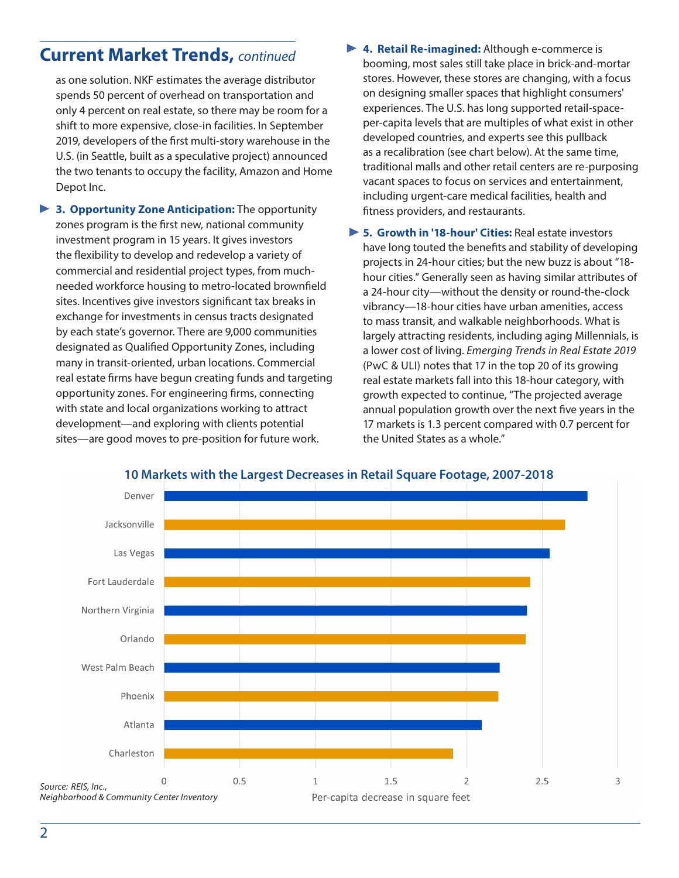## **Current Market Trends,** *continued*

as one solution. NKF estimates the average distributor spends 50 percent of overhead on transportation and only 4 percent on real estate, so there may be room for a shift to more expensive, close-in facilities. In September 2019, developers of the first multi-story warehouse in the U.S. (in Seattle, built as a speculative project) announced the two tenants to occupy the facility, Amazon and Home Depot Inc.

- **3. Opportunity Zone Anticipation:** The opportunity zones program is the first new, national community investment program in 15 years. It gives investors the flexibility to develop and redevelop a variety of commercial and residential project types, from muchneeded workforce housing to metro-located brownfield sites. Incentives give investors significant tax breaks in exchange for investments in census tracts designated by each state's governor. There are 9,000 communities designated as Qualified Opportunity Zones, including many in transit-oriented, urban locations. Commercial real estate firms have begun creating funds and targeting opportunity zones. For engineering firms, connecting with state and local organizations working to attract development—and exploring with clients potential sites—are good moves to pre-position for future work.
- **4. Retail Re-imagined:** Although e-commerce is booming, most sales still take place in brick-and-mortar stores. However, these stores are changing, with a focus on designing smaller spaces that highlight consumers' experiences. The U.S. has long supported retail-spaceper-capita levels that are multiples of what exist in other developed countries, and experts see this pullback as a recalibration (see chart below). At the same time, traditional malls and other retail centers are re-purposing vacant spaces to focus on services and entertainment, including urgent-care medical facilities, health and fitness providers, and restaurants.
- ▶ 5. Growth in '18-hour' Cities: Real estate investors have long touted the benefits and stability of developing projects in 24-hour cities; but the new buzz is about "18 hour cities." Generally seen as having similar attributes of a 24-hour city—without the density or round-the-clock vibrancy—18-hour cities have urban amenities, access to mass transit, and walkable neighborhoods. What is largely attracting residents, including aging Millennials, is a lower cost of living. *Emerging Trends in Real Estate 2019* (PwC & ULI) notes that 17 in the top 20 of its growing real estate markets fall into this 18-hour category, with growth expected to continue, "The projected average annual population growth over the next five years in the 17 markets is 1.3 percent compared with 0.7 percent for the United States as a whole."



#### **10 Markets with the Largest Decreases in Retail Square Footage, 2007-2018**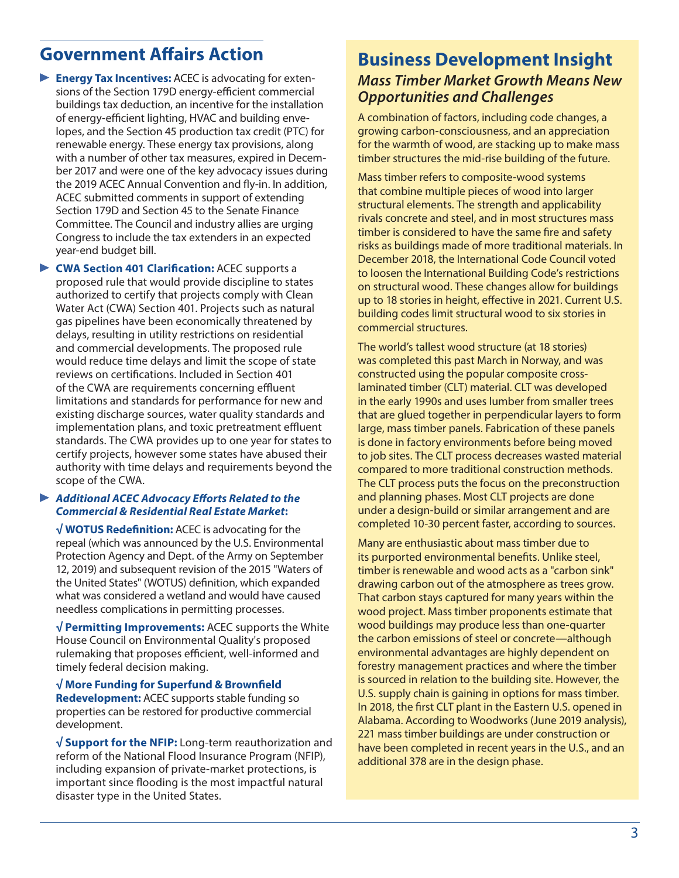## **Government Affairs Action**

**Energy Tax Incentives:** ACEC is advocating for extensions of the Section 179D energy-efficient commercial buildings tax deduction, an incentive for the installation of energy-efficient lighting, HVAC and building envelopes, and the Section 45 production tax credit (PTC) for renewable energy. These energy tax provisions, along with a number of other tax measures, expired in December 2017 and were one of the key advocacy issues during the 2019 ACEC Annual Convention and fly-in. In addition, ACEC submitted comments in support of extending Section 179D and Section 45 to the Senate Finance Committee. The Council and industry allies are urging Congress to include the tax extenders in an expected year-end budget bill.

**CWA Section 401 Clarification:** ACEC supports a proposed rule that would provide discipline to states authorized to certify that projects comply with Clean Water Act (CWA) Section 401. Projects such as natural gas pipelines have been economically threatened by delays, resulting in utility restrictions on residential and commercial developments. The proposed rule would reduce time delays and limit the scope of state reviews on certifications. Included in Section 401 of the CWA are requirements concerning effluent limitations and standards for performance for new and existing discharge sources, water quality standards and implementation plans, and toxic pretreatment effluent standards. The CWA provides up to one year for states to certify projects, however some states have abused their authority with time delays and requirements beyond the scope of the CWA.

#### *Additional ACEC Advocacy Efforts Related to the Commercial & Residential Real Estate Market***:**

**√ WOTUS Redefinition:** ACEC is advocating for the repeal (which was announced by the U.S. Environmental Protection Agency and Dept. of the Army on September 12, 2019) and subsequent revision of the 2015 "Waters of the United States" (WOTUS) definition, which expanded what was considered a wetland and would have caused needless complications in permitting processes.

**√ Permitting Improvements:** ACEC supports the White House Council on Environmental Quality's proposed rulemaking that proposes efficient, well-informed and timely federal decision making.

**√ More Funding for Superfund & Brownfield Redevelopment:** ACEC supports stable funding so properties can be restored for productive commercial development.

**√ Support for the NFIP:** Long-term reauthorization and reform of the National Flood Insurance Program (NFIP), including expansion of private-market protections, is important since flooding is the most impactful natural disaster type in the United States.

### **Business Development Insight** *Mass Timber Market Growth Means New Opportunities and Challenges*

A combination of factors, including code changes, a growing carbon-consciousness, and an appreciation for the warmth of wood, are stacking up to make mass timber structures the mid-rise building of the future.

Mass timber refers to composite-wood systems that combine multiple pieces of wood into larger structural elements. The strength and applicability rivals concrete and steel, and in most structures mass timber is considered to have the same fire and safety risks as buildings made of more traditional materials. In December 2018, the International Code Council voted to loosen the International Building Code's restrictions on structural wood. These changes allow for buildings up to 18 stories in height, effective in 2021. Current U.S. building codes limit structural wood to six stories in commercial structures.

The world's tallest wood structure (at 18 stories) was completed this past March in Norway, and was constructed using the popular composite crosslaminated timber (CLT) material. CLT was developed in the early 1990s and uses lumber from smaller trees that are glued together in perpendicular layers to form large, mass timber panels. Fabrication of these panels is done in factory environments before being moved to job sites. The CLT process decreases wasted material compared to more traditional construction methods. The CLT process puts the focus on the preconstruction and planning phases. Most CLT projects are done under a design-build or similar arrangement and are completed 10-30 percent faster, according to sources.

Many are enthusiastic about mass timber due to its purported environmental benefits. Unlike steel, timber is renewable and wood acts as a "carbon sink" drawing carbon out of the atmosphere as trees grow. That carbon stays captured for many years within the wood project. Mass timber proponents estimate that wood buildings may produce less than one-quarter the carbon emissions of steel or concrete—although environmental advantages are highly dependent on forestry management practices and where the timber is sourced in relation to the building site. However, the U.S. supply chain is gaining in options for mass timber. In 2018, the first CLT plant in the Eastern U.S. opened in Alabama. According to Woodworks (June 2019 analysis), 221 mass timber buildings are under construction or have been completed in recent years in the U.S., and an additional 378 are in the design phase.